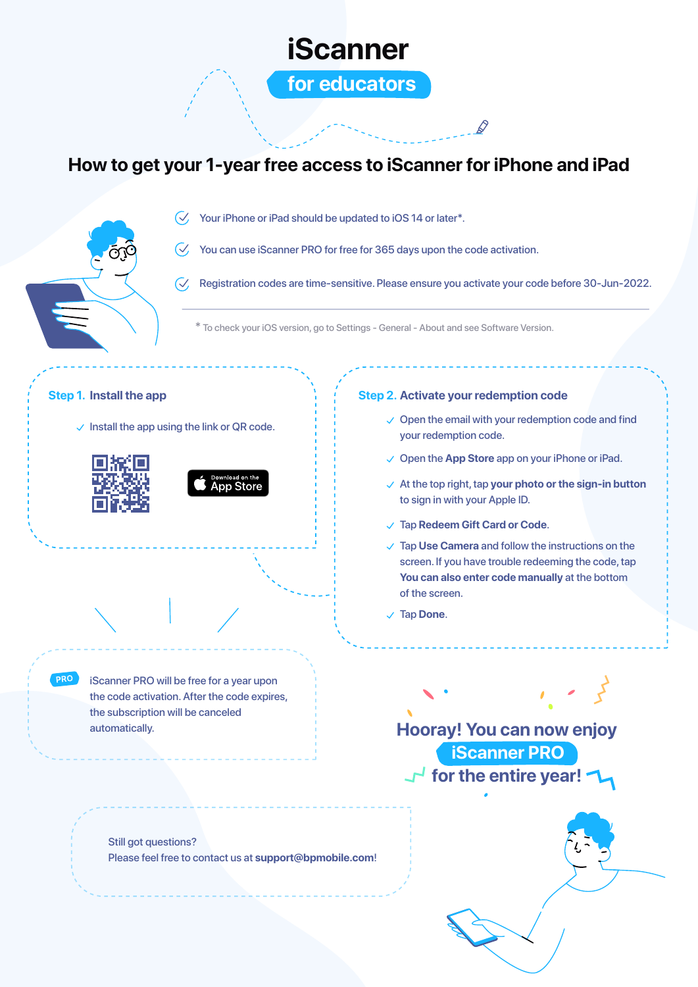

## **How to get your 1-year free access to iScanner for iPhone and iPad**



 $\sqrt{2}$  Your iPhone or iPad should be updated to iOS 14 or later\*.

 $\heartsuit$  You can use iScanner PRO for free for 365 days upon the code activation.

 $\sqrt{\checkmark}$  Registration codes are time-sensitive. Please ensure you activate your code before 30-Jun-2022.

\* To check your iOS version, go to Settings - General - About and see Software Version.

### **Step 1. Install the app**

 $\vee$  Install the app using the link or QR code.





### **Step 2. Activate your redemption code**

- $\vee$  Open the email with your redemption code and find your redemption code.
- Open the **App Store** app on your iPhone or iPad.
- At the top right, tap **your photo or the sign-in button** to sign in with your Apple ID.
- Tap **Redeem Gift Card or Code**.
- Tap **Use Camera** and follow the instructions on the screen. If you have trouble redeeming the code, tap **You can also enter code manually** at the bottom of the screen.
- Tap **Done**.

**PRO** iScanner PRO will be free for a year upon the code activation. After the code expires, the subscription will be canceled automatically.

**Hooray! You can now enjoy for the entire year! iScanner PRO**

Still got questions? Please feel free to contact us at **support@bpmobile.com**!